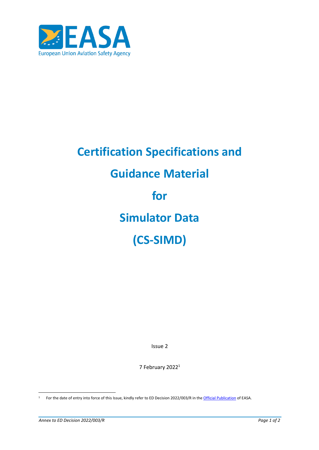

# **Certification Specifications and Guidance Material for Simulator Data (CS-SIMD)**

Issue 2

7 February 2022<sup>1</sup>

<sup>&</sup>lt;sup>1</sup> For the date of entry into force of this Issue, kindly refer to ED Decision 2022/003/R in the *[Official Publication](http://easa.europa.eu/official-publication/)* of EASA.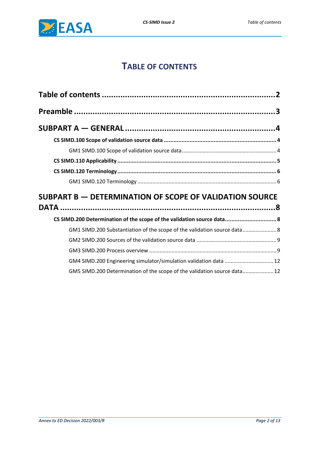## **TABLE OF CONTENTS**

<span id="page-1-0"></span>

| SUBPART B - DETERMINATION OF SCOPE OF VALIDATION SOURCE                  |  |
|--------------------------------------------------------------------------|--|
|                                                                          |  |
| CS SIMD.200 Determination of the scope of the validation source data 8   |  |
| GM1 SIMD.200 Substantiation of the scope of the validation source data 8 |  |
|                                                                          |  |
|                                                                          |  |
| GM4 SIMD.200 Engineering simulator/simulation validation data  12        |  |
| GM5 SIMD.200 Determination of the scope of the validation source data 12 |  |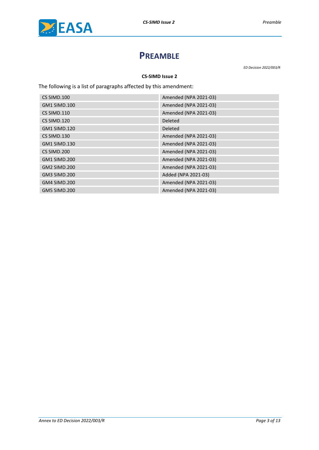<span id="page-2-0"></span>

## **PREAMBLE**

*ED Decision 2022/003/R*

#### **CS-SIMD Issue 2**

The following is a list of paragraphs affected by this amendment:

| CS SIMD.100         | Amended (NPA 2021-03) |
|---------------------|-----------------------|
| <b>GM1 SIMD.100</b> | Amended (NPA 2021-03) |
| CS SIMD.110         | Amended (NPA 2021-03) |
| CS SIMD.120         | <b>Deleted</b>        |
| <b>GM1 SIMD.120</b> | <b>Deleted</b>        |
| CS SIMD.130         | Amended (NPA 2021-03) |
| <b>GM1 SIMD.130</b> | Amended (NPA 2021-03) |
| CS SIMD.200         | Amended (NPA 2021-03) |
| <b>GM1 SIMD.200</b> | Amended (NPA 2021-03) |
| <b>GM2 SIMD.200</b> | Amended (NPA 2021-03) |
| <b>GM3 SIMD.200</b> | Added (NPA 2021-03)   |
| <b>GM4 SIMD.200</b> | Amended (NPA 2021-03) |
| <b>GM5 SIMD.200</b> | Amended (NPA 2021-03) |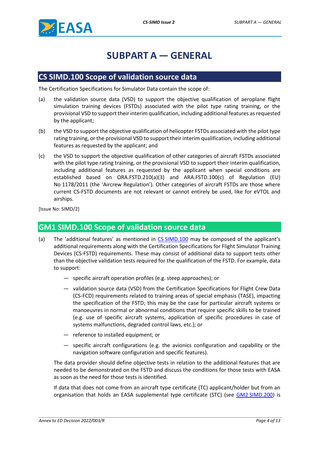<span id="page-3-0"></span>

## **SUBPART A — GENERAL**

#### <span id="page-3-1"></span>**CS SIMD.100 Scope of validation source data**

The Certification Specifications for Simulator Data contain the scope of:

- (a) the validation source data (VSD) to support the objective qualification of aeroplane flight simulation training devices (FSTDs) associated with the pilot type rating training, or the provisional VSD to support their interim qualification, including additional features as requested by the applicant;
- (b) the VSD to support the objective qualification of helicopter FSTDs associated with the pilot type rating training, or the provisional VSD to support their interim qualification, including additional features as requested by the applicant; and
- (c) the VSD to support the objective qualification of other categories of aircraft FSTDs associated with the pilot type rating training, or the provisional VSD to support their interim qualification, including additional features as requested by the applicant when special conditions are established based on ORA.FSTD.210(a)(3) and ARA.FSTD.100(c) of Regulation (EU) No 1178/2011 (the 'Aircrew Regulation'). Other categories of aircraft FSTDs are those where current CS-FSTD documents are not relevant or cannot entirely be used, like for eVTOL and airships.

<span id="page-3-2"></span>[Issue No: SIMD/2]

#### **GM1 SIMD.100 Scope of validation source data**

- (a) The 'additional features' as mentioned in CS [SIMD.100](#page-4-0) may be composed of the applicant's additional requirements along with the Certification Specifications for Flight Simulator Training Devices (CS-FSTD) requirements. These may consist of additional data to support tests other than the objective validation tests required for the qualification of the FSTD. For example, data to support:
	- specific aircraft operation profiles (e.g. steep approaches); or
	- validation source data (VSD) from the Certification Specifications for Flight Crew Data (CS-FCD) requirements related to training areas of special emphasis (TASE), impacting the specification of the FSTD; this may be the case for particular aircraft systems or manoeuvres in normal or abnormal conditions that require specific skills to be trained (e.g. use of specific aircraft systems, application of specific procedures in case of systems malfunctions, degraded control laws, etc.); or
	- reference to installed equipment; or
	- specific aircraft configurations (e.g. the avionics configuration and capability or the navigation software configuration and specific features).

The data provider should define objective tests in relation to the additional features that are needed to be demonstrated on the FSTD and discuss the conditions for those tests with EASA as soon as the need for those tests is identified.

If data that does not come from an aircraft type certificate (TC) applicant/holder but from an organisation that holds an EASA supplemental type certificate (STC) (see GM2 [SIMD.200\)](#page-8-0) is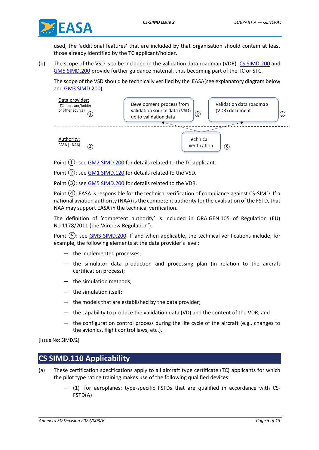

used, the 'additional features' that are included by that organisation should contain at least those already identified by the TC applicant/holder.

(b) The scope of the VSD is to be included in the validation data roadmap (VDR). CS [SIMD.200](#page-7-1) and GM5 [SIMD.200](#page-11-1) provide further guidance material, thus becoming part of the TC or STC.

The scope of the VSD should be technically verified by the EASA(see explanatory diagram below and [GM3 SIMD.200\)](#page-8-1).



Point  $(1)$ : see GM2 [SIMD.200](#page-8-0) for details related to the TC applicant.

Point (2): see GM1 [SIMD.120](#page-5-1) for details related to the VSD.

Point (3): see GM5 [SIMD.200](#page-11-1) for details related to the VDR.

Point ④: EASA is responsible for the technical verification of compliance against CS-SIMD. If a national aviation authority (NAA) is the competent authority for the evaluation of the FSTD, that NAA may support EASA in the technical verification.

The definition of 'competent authority' is included in ORA.GEN.105 of Regulation (EU) No 1178/2011 (the 'Aircrew Regulation').

Point  $(5)$ : see  $GM3$  SIMD.200. If and when applicable, the technical verifications include, for example, the following elements at the data provider's level:

- the implemented processes;
- the simulator data production and processing plan (in relation to the aircraft certification process);
- the simulation methods;
- the simulation itself;
- the models that are established by the data provider;
- the capability to produce the validation data (VD) and the content of the VDR; and
- the configuration control process during the life cycle of the aircraft (e.g., changes to the avionics, flight control laws, etc.).

<span id="page-4-0"></span>[Issue No: SIMD/2]

#### **CS SIMD.110 Applicability**

- (a) These certification specifications apply to all aircraft type certificate (TC) applicants for which the pilot type rating training makes use of the following qualified devices:
	- (1) for aeroplanes: type-specific FSTDs that are qualified in accordance with CS-FSTD(A)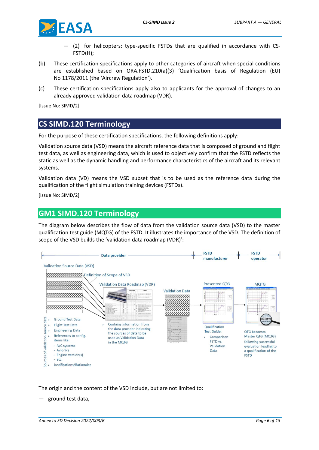

- (2) for helicopters: type-specific FSTDs that are qualified in accordance with CS-FSTD(H);
- (b) These certification specifications apply to other categories of aircraft when special conditions are established based on ORA.FSTD.210(a)(3) 'Qualification basis of Regulation (EU) No 1178/2011 (the 'Aircrew Regulation').
- (c) These certification specifications apply also to applicants for the approval of changes to an already approved validation data roadmap (VDR).

<span id="page-5-0"></span>[Issue No: SIMD/2]

#### **CS SIMD.120 Terminology**

For the purpose of these certification specifications, the following definitions apply:

Validation source data (VSD) means the aircraft reference data that is composed of ground and flight test data, as well as engineering data, which is used to objectively confirm that the FSTD reflects the static as well as the dynamic handling and performance characteristics of the aircraft and its relevant systems.

Validation data (VD) means the VSD subset that is to be used as the reference data during the qualification of the flight simulation training devices (FSTDs).

<span id="page-5-1"></span>[Issue No: SIMD/2]

#### **GM1 SIMD.120 Terminology**

The diagram below describes the flow of data from the validation source data (VSD) to the master qualification test guide (MQTG) of the FSTD. It illustrates the importance of the VSD. The definition of scope of the VSD builds the 'validation data roadmap (VDR)':



The origin and the content of the VSD include, but are not limited to:

— ground test data,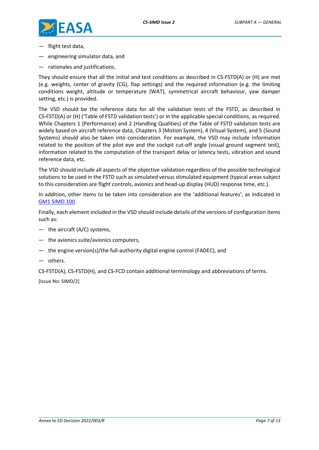

- flight test data,
- engineering simulator data, and
- rationales and justifications.

They should ensure that all the initial and test conditions as described in CS-FSTD(A) or (H) are met (e.g. weights, center of gravity (CG), flap settings) and the required information (e.g. the limiting conditions weight, altitude or temperature (WAT), symmetrical aircraft behaviour, yaw damper setting, etc.) is provided.

The VSD should be the reference data for all the validation tests of the FSTD, as described in CS-FSTD(A) or (H) ('Table of FSTD validation tests') or in the applicable special conditions, as required. While Chapters 1 (Performance) and 2 (Handling Qualities) of the Table of FSTD validation tests are widely based on aircraft reference data, Chapters 3 (Motion System), 4 (Visual System), and 5 (Sound Systems) should also be taken into consideration. For example, the VSD may include information related to the position of the pilot eye and the cockpit cut-off angle (visual ground segment test), information related to the computation of the transport delay or latency tests, vibration and sound reference data, etc.

The VSD should include all aspects of the objective validation regardless of the possible technological solutions to be used in the FSTD such as simulated versus stimulated equipment (typical areas subject to this consideration are flight controls, avionics and head-up display (HUD) response time, etc.).

In addition, other items to be taken into consideration are the 'additional features', as indicated in GM1 [SIMD.100.](#page-3-2)

Finally, each element included in the VSD should include details of the versions of configuration items such as:

- the aircraft (A/C) systems,
- the avionics suite/avionics computers,
- the engine version(s)/the full-authority digital engine control (FADEC), and
- others.

CS-FSTD(A), CS-FSTD(H), and CS-FCD contain additional terminology and abbreviations of terms. [Issue No: SIMD/2]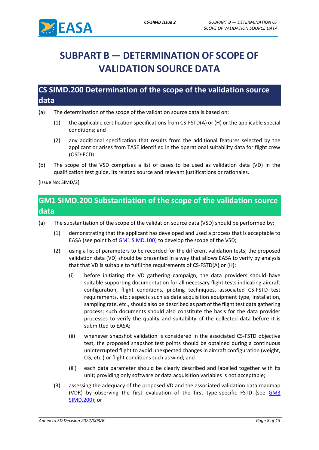

# <span id="page-7-0"></span>**SUBPART B — DETERMINATION OF SCOPE OF VALIDATION SOURCE DATA**

#### <span id="page-7-1"></span>**CS SIMD.200 Determination of the scope of the validation source data**

- (a) The determination of the scope of the validation source data is based on:
	- (1) the applicable certification specifications from CS-FSTD(A) or (H) or the applicable special conditions; and
	- (2) any additional specification that results from the additional features selected by the applicant or arises from TASE identified in the operational suitability data for flight crew (OSD-FCD).
- (b) The scope of the VSD comprises a list of cases to be used as validation data (VD) in the qualification test guide, its related source and relevant justifications or rationales.

<span id="page-7-2"></span>[Issue No: SIMD/2]

## **GM1 SIMD.200 Substantiation of the scope of the validation source data**

- (a) The substantiation of the scope of the validation source data (VSD) should be performed by:
	- (1) demonstrating that the applicant has developed and used a process that is acceptable to EASA (see point b of **GM1 SIMD.100**) to develop the scope of the VSD;
	- (2) using a list of parameters to be recorded for the different validation tests; the proposed validation data (VD) should be presented in a way that allows EASA to verify by analysis that that VD is suitable to fulfil the requirements of CS-FSTD(A) or (H):
		- (i) before initiating the VD gathering campaign, the data providers should have suitable supporting documentation for all necessary flight tests indicating aircraft configuration, flight conditions, piloting techniques, associated CS-FSTD test requirements, etc.; aspects such as data acquisition equipment type, installation, sampling rate, etc., should also be described as part of the flight test data gathering process; such documents should also constitute the basis for the data provider processes to verify the quality and suitability of the collected data before it is submitted to EASA;
		- (ii) whenever snapshot validation is considered in the associated CS-FSTD objective test, the proposed snapshot test points should be obtained during a continuous uninterrupted flight to avoid unexpected changes in aircraft configuration (weight, CG, etc.) or flight conditions such as wind; and
		- (iii) each data parameter should be clearly described and labelled together with its unit; providing only software or data acquisition variables is not acceptable;
	- (3) assessing the adequacy of the proposed VD and the associated validation data roadmap (VDR) by observing the first evaluation of the first type-specific FSTD (see [GM3](#page-8-1)  [SIMD.200\)](#page-8-1); or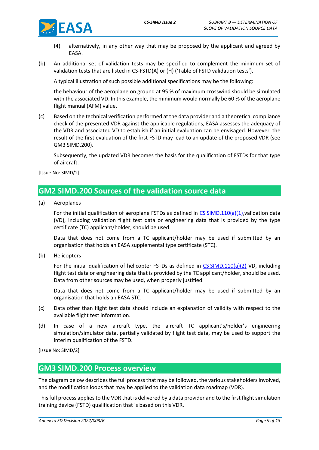- (4) alternatively, in any other way that may be proposed by the applicant and agreed by EASA.
- (b) An additional set of validation tests may be specified to complement the minimum set of validation tests that are listed in CS-FSTD(A) or (H) ('Table of FSTD validation tests').

A typical illustration of such possible additional specifications may be the following:

the behaviour of the aeroplane on ground at 95 % of maximum crosswind should be simulated with the associated VD. In this example, the minimum would normally be 60 % of the aeroplane flight manual (AFM) value.

(c) Based on the technical verification performed at the data provider and a theoretical compliance check of the presented VDR against the applicable regulations, EASA assesses the adequacy of the VDR and associated VD to establish if an initial evaluation can be envisaged. However, the result of the first evaluation of the first FSTD may lead to an update of the proposed VDR (see GM3 SIMD.200).

Subsequently, the updated VDR becomes the basis for the qualification of FSTDs for that type of aircraft.

<span id="page-8-0"></span>[Issue No: SIMD/2]

#### **GM2 SIMD.200 Sources of the validation source data**

(a) Aeroplanes

For the initial qualification of aeroplane FSTDs as defined in CS [SIMD.110\(a\)\(1\),](#page-4-0)validation data (VD), including validation flight test data or engineering data that is provided by the type certificate (TC) applicant/holder, should be used.

Data that does not come from a TC applicant/holder may be used if submitted by an organisation that holds an EASA supplemental type certificate (STC).

(b) Helicopters

For the initial qualification of helicopter FSTDs as defined in CS [SIMD.110\(a\)\(2\)](#page-4-0) VD, including flight test data or engineering data that is provided by the TC applicant/holder, should be used. Data from other sources may be used, when properly justified.

Data that does not come from a TC applicant/holder may be used if submitted by an organisation that holds an EASA STC.

- (c) Data other than flight test data should include an explanation of validity with respect to the available flight test information.
- (d) In case of a new aircraft type, the aircraft TC applicant's/holder's engineering simulation/simulator data, partially validated by flight test data, may be used to support the interim qualification of the FSTD.

<span id="page-8-1"></span>[Issue No: SIMD/2]

#### **GM3 SIMD.200 Process overview**

The diagram below describes the full process that may be followed, the various stakeholders involved, and the modification loops that may be applied to the validation data roadmap (VDR).

This full process applies to the VDR that is delivered by a data provider and to the first flight simulation training device (FSTD) qualification that is based on this VDR.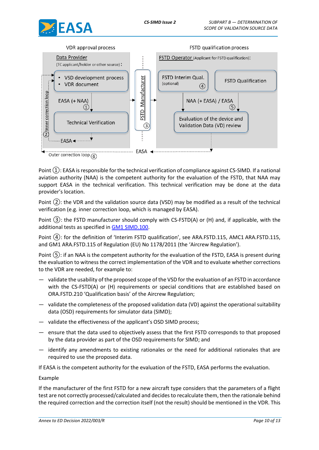



Point  $(1)$ : EASA is responsible for the technical verification of compliance against CS-SIMD. If a national aviation authority (NAA) is the competent authority for the evaluation of the FSTD, that NAA may support EASA in the technical verification. This technical verification may be done at the data provider's location.

Point ②: the VDR and the validation source data (VSD) may be modified as a result of the technical verification (e.g. inner correction loop, which is managed by EASA).

Point ③: the FSTD manufacturer should comply with CS-FSTD(A) or (H) and, if applicable, with the additional tests as specified in GM1 [SIMD.100.](#page-3-2)

Point ④: for the definition of 'Interim FSTD qualification', see ARA.FSTD.115, AMC1 ARA.FSTD.115, and GM1 ARA.FSTD.115 of Regulation (EU) No 1178/2011 (the 'Aircrew Regulation').

Point  $(5)$ : if an NAA is the competent authority for the evaluation of the FSTD, EASA is present during the evaluation to witness the correct implementation of the VDR and to evaluate whether corrections to the VDR are needed, for example to:

- validate the usability of the proposed scope of the VSD for the evaluation of an FSTD in accordance with the CS-FSTD(A) or (H) requirements or special conditions that are established based on ORA.FSTD.210 'Qualification basis' of the Aircrew Regulation;
- validate the completeness of the proposed validation data (VD) against the operational suitability data (OSD) requirements for simulator data (SIMD);
- validate the effectiveness of the applicant's OSD SIMD process;
- ensure that the data used to objectively assess that the first FSTD corresponds to that proposed by the data provider as part of the OSD requirements for SIMD; and
- identify any amendments to existing rationales or the need for additional rationales that are required to use the proposed data.

If EASA is the competent authority for the evaluation of the FSTD, EASA performs the evaluation.

#### Example

If the manufacturer of the first FSTD for a new aircraft type considers that the parameters of a flight test are not correctly processed/calculated and decides to recalculate them, then the rationale behind the required correction and the correction itself (not the result) should be mentioned in the VDR. This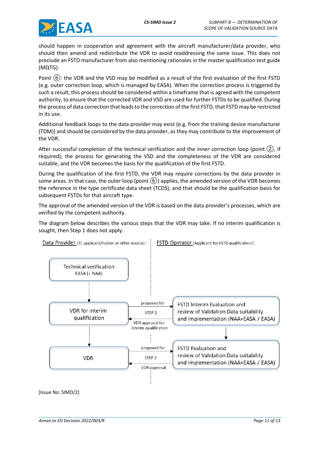

should happen in cooperation and agreement with the aircraft manufacturer/data provider, who should then amend and redistribute the VDR to avoid readdressing the same issue. This does not preclude an FSTD manufacturer from also mentioning rationales in the master qualification test guide (MQTG).

Point (6): the VDR and the VSD may be modified as a result of the first evaluation of the first FSTD (e.g. outer correction loop, which is managed by EASA). When the correction process is triggered by such a result, this process should be considered within a timeframe that is agreed with the competent authority, to ensure that the corrected VDR and VSD are used for further FSTDs to be qualified. During the process of data correction that leads to the correction of the first FSTD, that FSTD may be restricted in its use.

Additional feedback loops to the data provider may exist (e.g. from the training device manufacturer (TDM)) and should be considered by the data provider, as they may contribute to the improvement of the VDR.

After successful completion of the technical verification and the inner correction loop (point  $(2)$ , if required), the process for generating the VSD and the completeness of the VDR are considered suitable, and the VDR becomes the basis for the qualification of the first FSTD.

During the qualification of the first FSTD, the VDR may require corrections by the data provider in some areas. In that case, the outer loop (point  $(6)$ ) applies, the amended version of the VDR becomes the reference in the type certificate data sheet (TCDS), and that should be the qualification basis for subsequent FSTDs for that aircraft type.

The approval of the amended version of the VDR is based on the data provider's processes, which are verified by the competent authority.

The diagram below describes the various steps that the VDR may take. If no interim qualification is sought, then Step 1 does not apply.



[Issue No: SIMD/2]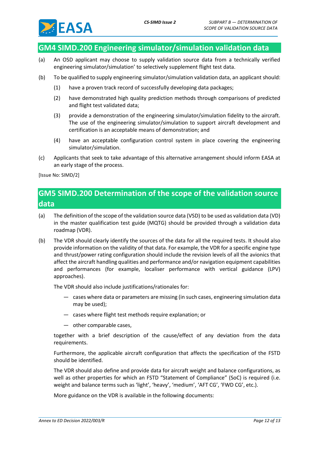

#### <span id="page-11-0"></span>**GM4 SIMD.200 Engineering simulator/simulation validation data**

- (a) An OSD applicant may choose to supply validation source data from a technically verified engineering simulator/simulation' to selectively supplement flight test data.
- (b) To be qualified to supply engineering simulator/simulation validation data, an applicant should:
	- (1) have a proven track record of successfully developing data packages;
	- (2) have demonstrated high quality prediction methods through comparisons of predicted and flight test validated data;
	- (3) provide a demonstration of the engineering simulator/simulation fidelity to the aircraft. The use of the engineering simulator/simulation to support aircraft development and certification is an acceptable means of demonstration; and
	- (4) have an acceptable configuration control system in place covering the engineering simulator/simulation.
- (c) Applicants that seek to take advantage of this alternative arrangement should inform EASA at an early stage of the process.

<span id="page-11-1"></span>[Issue No: SIMD/2]

### **GM5 SIMD.200 Determination of the scope of the validation source data**

- (a) The definition of the scope of the validation source data (VSD) to be used as validation data (VD) in the master qualification test guide (MQTG) should be provided through a validation data roadmap (VDR).
- (b) The VDR should clearly identify the sources of the data for all the required tests. It should also provide information on the validity of that data. For example, the VDR for a specific engine type and thrust/power rating configuration should include the revision levels of all the avionics that affect the aircraft handling qualities and performance and/or navigation equipment capabilities and performances (for example, localiser performance with vertical guidance (LPV) approaches).

The VDR should also include justifications/rationales for:

- cases where data or parameters are missing (in such cases, engineering simulation data may be used);
- cases where flight test methods require explanation; or
- other comparable cases,

together with a brief description of the cause/effect of any deviation from the data requirements.

Furthermore, the applicable aircraft configuration that affects the specification of the FSTD should be identified.

The VDR should also define and provide data for aircraft weight and balance configurations, as well as other properties for which an FSTD "Statement of Compliance" (SoC) is required (i.e. weight and balance terms such as 'light', 'heavy', 'medium', 'AFT CG', 'FWD CG', etc.).

More guidance on the VDR is available in the following documents: